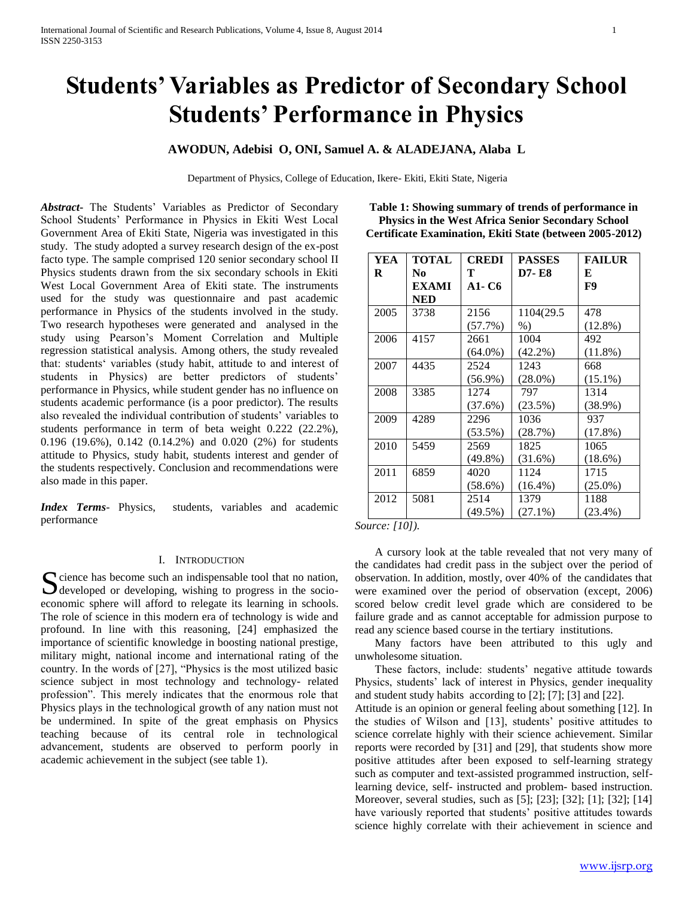# **Students' Variables as Predictor of Secondary School Students' Performance in Physics**

# **AWODUN, Adebisi O, ONI, Samuel A. & ALADEJANA, Alaba L**

Department of Physics, College of Education, Ikere- Ekiti, Ekiti State, Nigeria

*Abstract***-** The Students' Variables as Predictor of Secondary School Students' Performance in Physics in Ekiti West Local Government Area of Ekiti State, Nigeria was investigated in this study. The study adopted a survey research design of the ex-post facto type. The sample comprised 120 senior secondary school II Physics students drawn from the six secondary schools in Ekiti West Local Government Area of Ekiti state. The instruments used for the study was questionnaire and past academic performance in Physics of the students involved in the study. Two research hypotheses were generated and analysed in the study using Pearson's Moment Correlation and Multiple regression statistical analysis. Among others, the study revealed that: students' variables (study habit, attitude to and interest of students in Physics) are better predictors of students' performance in Physics, while student gender has no influence on students academic performance (is a poor predictor). The results also revealed the individual contribution of students' variables to students performance in term of beta weight 0.222 (22.2%), 0.196 (19.6%), 0.142 (0.14.2%) and 0.020 (2%) for students attitude to Physics, study habit, students interest and gender of the students respectively. Conclusion and recommendations were also made in this paper.

*Index Terms*- Physics, students, variables and academic performance

#### I. INTRODUCTION

 $\Gamma$  cience has become such an indispensable tool that no nation, Socience has become such an indispensable tool that no nation,<br>developed or developing, wishing to progress in the socioeconomic sphere will afford to relegate its learning in schools. The role of science in this modern era of technology is wide and profound. In line with this reasoning, [24] emphasized the importance of scientific knowledge in boosting national prestige, military might, national income and international rating of the country. In the words of [27], "Physics is the most utilized basic science subject in most technology and technology- related profession". This merely indicates that the enormous role that Physics plays in the technological growth of any nation must not be undermined. In spite of the great emphasis on Physics teaching because of its central role in technological advancement, students are observed to perform poorly in academic achievement in the subject (see table 1).

**Table 1: Showing summary of trends of performance in Physics in the West Africa Senior Secondary School Certificate Examination, Ekiti State (between 2005-2012)**

| <b>YEA</b><br>R | TOTAL<br>No | <b>CREDI</b><br>Т | <b>PASSES</b><br><b>D7-E8</b> | <b>FAILUR</b><br>E |
|-----------------|-------------|-------------------|-------------------------------|--------------------|
|                 | EXAMI       | A1- C6            |                               | F9                 |
|                 | NED         |                   |                               |                    |
| 2005            | 3738        | 2156              | 1104(29.5                     | 478                |
|                 |             | $(57.7\%)$        | $%$ )                         | $(12.8\%)$         |
| 2006            | 4157        | 2661              | 1004                          | 492                |
|                 |             | $(64.0\%)$        | $(42.2\%)$                    | $(11.8\%)$         |
| 2007            | 4435        | 2524              | 1243                          | 668                |
|                 |             | $(56.9\%)$        | $(28.0\%)$                    | $(15.1\%)$         |
| 2008            | 3385        | 1274              | 797                           | 1314               |
|                 |             | $(37.6\%)$        | (23.5%)                       | $(38.9\%)$         |
| 2009            | 4289        | 2296              | 1036                          | 937                |
|                 |             | $(53.5\%)$        | (28.7%)                       | $(17.8\%)$         |
| 2010            | 5459        | 2569              | 1825                          | 1065               |
|                 |             | $(49.8\%)$        | $(31.6\%)$                    | $(18.6\%)$         |
| 2011            | 6859        | 4020              | 1124                          | 1715               |
|                 |             | $(58.6\%)$        | $(16.4\%)$                    | $(25.0\%)$         |
| 2012            | 5081        | 2514              | 1379                          | 1188               |
|                 |             | $(49.5\%)$        | $(27.1\%)$                    | $(23.4\%)$         |

*Source: [10]).*

 A cursory look at the table revealed that not very many of the candidates had credit pass in the subject over the period of observation. In addition, mostly, over 40% of the candidates that were examined over the period of observation (except, 2006) scored below credit level grade which are considered to be failure grade and as cannot acceptable for admission purpose to read any science based course in the tertiary institutions.

 Many factors have been attributed to this ugly and unwholesome situation.

 These factors, include: students' negative attitude towards Physics, students' lack of interest in Physics, gender inequality and student study habits according to [2]; [7]; [3] and [22].

Attitude is an opinion or general feeling about something [12]. In the studies of Wilson and [13], students' positive attitudes to science correlate highly with their science achievement. Similar reports were recorded by [31] and [29], that students show more positive attitudes after been exposed to self-learning strategy such as computer and text-assisted programmed instruction, selflearning device, self- instructed and problem- based instruction. Moreover, several studies, such as [5]; [23]; [32]; [1]; [32]; [14] have variously reported that students' positive attitudes towards science highly correlate with their achievement in science and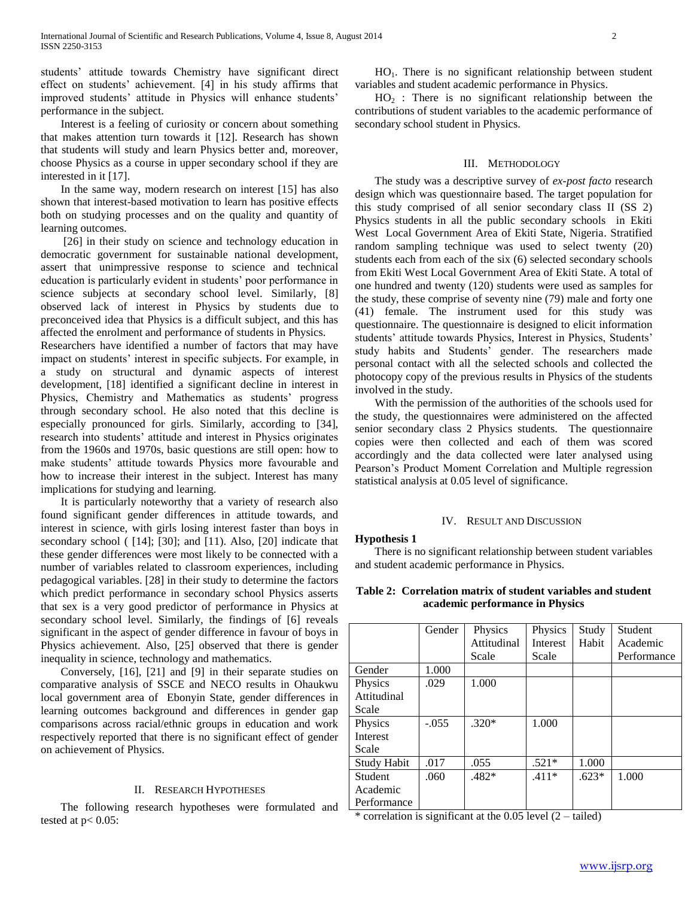students' attitude towards Chemistry have significant direct effect on students' achievement. [4] in his study affirms that improved students' attitude in Physics will enhance students' performance in the subject.

 Interest is a feeling of curiosity or concern about something that makes attention turn towards it [12]. Research has shown that students will study and learn Physics better and, moreover, choose Physics as a course in upper secondary school if they are interested in it [17].

 In the same way, modern research on interest [15] has also shown that interest-based motivation to learn has positive effects both on studying processes and on the quality and quantity of learning outcomes.

 [26] in their study on science and technology education in democratic government for sustainable national development, assert that unimpressive response to science and technical education is particularly evident in students' poor performance in science subjects at secondary school level. Similarly, [8] observed lack of interest in Physics by students due to preconceived idea that Physics is a difficult subject, and this has affected the enrolment and performance of students in Physics.

Researchers have identified a number of factors that may have impact on students' interest in specific subjects. For example, in a study on structural and dynamic aspects of interest development, [18] identified a significant decline in interest in Physics, Chemistry and Mathematics as students' progress through secondary school. He also noted that this decline is especially pronounced for girls. Similarly, according to [34], research into students' attitude and interest in Physics originates from the 1960s and 1970s, basic questions are still open: how to make students' attitude towards Physics more favourable and how to increase their interest in the subject. Interest has many implications for studying and learning.

 It is particularly noteworthy that a variety of research also found significant gender differences in attitude towards, and interest in science, with girls losing interest faster than boys in secondary school ( [14]; [30]; and [11). Also, [20] indicate that these gender differences were most likely to be connected with a number of variables related to classroom experiences, including pedagogical variables. [28] in their study to determine the factors which predict performance in secondary school Physics asserts that sex is a very good predictor of performance in Physics at secondary school level. Similarly, the findings of [6] reveals significant in the aspect of gender difference in favour of boys in Physics achievement. Also, [25] observed that there is gender inequality in science, technology and mathematics.

 Conversely, [16], [21] and [9] in their separate studies on comparative analysis of SSCE and NECO results in Ohaukwu local government area of Ebonyin State, gender differences in learning outcomes background and differences in gender gap comparisons across racial/ethnic groups in education and work respectively reported that there is no significant effect of gender on achievement of Physics.

# II. RESEARCH HYPOTHESES

 The following research hypotheses were formulated and tested at  $p < 0.05$ :

 HO1. There is no significant relationship between student variables and student academic performance in Physics.

 $HO<sub>2</sub>$ : There is no significant relationship between the contributions of student variables to the academic performance of secondary school student in Physics.

#### III. METHODOLOGY

 The study was a descriptive survey of *ex-post facto* research design which was questionnaire based. The target population for this study comprised of all senior secondary class II (SS 2) Physics students in all the public secondary schools in Ekiti West Local Government Area of Ekiti State, Nigeria. Stratified random sampling technique was used to select twenty (20) students each from each of the six (6) selected secondary schools from Ekiti West Local Government Area of Ekiti State. A total of one hundred and twenty (120) students were used as samples for the study, these comprise of seventy nine (79) male and forty one (41) female. The instrument used for this study was questionnaire. The questionnaire is designed to elicit information students' attitude towards Physics, Interest in Physics, Students' study habits and Students' gender. The researchers made personal contact with all the selected schools and collected the photocopy copy of the previous results in Physics of the students involved in the study.

 With the permission of the authorities of the schools used for the study, the questionnaires were administered on the affected senior secondary class 2 Physics students. The questionnaire copies were then collected and each of them was scored accordingly and the data collected were later analysed using Pearson's Product Moment Correlation and Multiple regression statistical analysis at 0.05 level of significance.

# IV. RESULT AND DISCUSSION

#### **Hypothesis 1**

 There is no significant relationship between student variables and student academic performance in Physics.

**Table 2: Correlation matrix of student variables and student academic performance in Physics**

|                    | Gender  | Physics                                             | Physics         | Study   | Student     |
|--------------------|---------|-----------------------------------------------------|-----------------|---------|-------------|
|                    |         | Attitudinal                                         | <b>Interest</b> | Habit   | Academic    |
|                    |         | Scale                                               | Scale           |         | Performance |
| Gender             | 1.000   |                                                     |                 |         |             |
| Physics            | .029    | 1.000                                               |                 |         |             |
| Attitudinal        |         |                                                     |                 |         |             |
| Scale              |         |                                                     |                 |         |             |
| Physics            | $-.055$ | $.320*$                                             | 1.000           |         |             |
| Interest           |         |                                                     |                 |         |             |
| Scale              |         |                                                     |                 |         |             |
| <b>Study Habit</b> | .017    | .055                                                | $.521*$         | 1.000   |             |
| <b>Student</b>     | .060    | $.482*$                                             | $.411*$         | $.623*$ | 1.000       |
| Academic           |         |                                                     |                 |         |             |
| Performance        |         |                                                     |                 |         |             |
|                    | . .     | $\sim$ $\sim$ $\sim$ $\sim$<br>$\sim$ $\sim$ $\sim$ | $\sim$          |         |             |

\* correlation is significant at the 0.05 level (2 – tailed)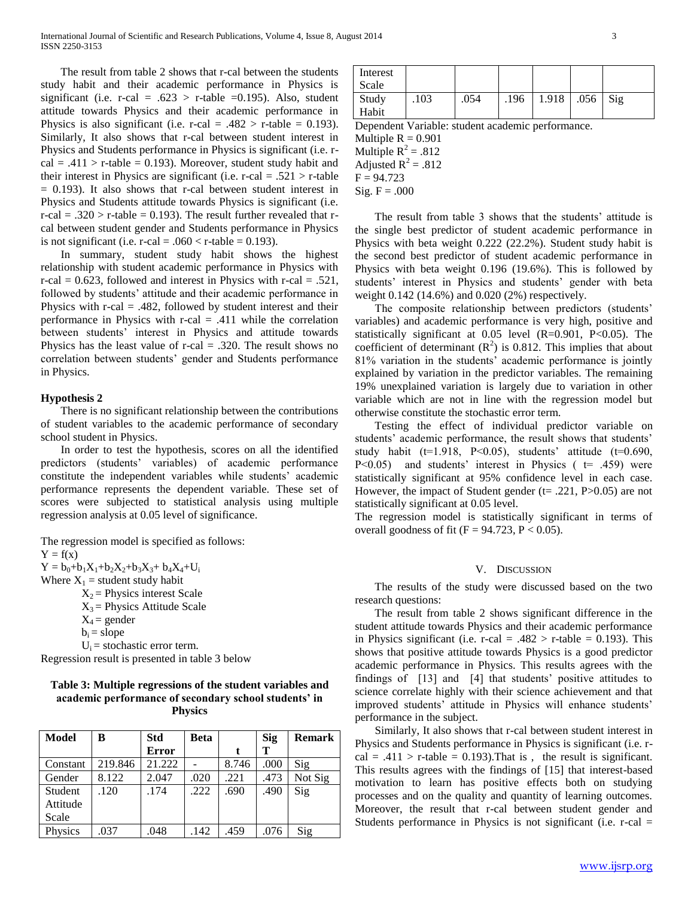The result from table 2 shows that r-cal between the students study habit and their academic performance in Physics is significant (i.e. r-cal =  $.623$  > r-table =0.195). Also, student attitude towards Physics and their academic performance in Physics is also significant (i.e. r-cal = .482 > r-table = 0.193). Similarly, It also shows that r-cal between student interest in Physics and Students performance in Physics is significant (i.e. r $cal = .411$  > r-table = 0.193). Moreover, student study habit and their interest in Physics are significant (i.e. r-cal = .521  $>$  r-table  $= 0.193$ ). It also shows that r-cal between student interest in Physics and Students attitude towards Physics is significant (i.e. r-cal =  $.320 > r$ -table = 0.193). The result further revealed that rcal between student gender and Students performance in Physics is not significant (i.e.  $r$ -cal = .060 <  $r$ -table = 0.193).

 In summary, student study habit shows the highest relationship with student academic performance in Physics with r-cal =  $0.623$ , followed and interest in Physics with r-cal = .521, followed by students' attitude and their academic performance in Physics with r-cal  $= .482$ , followed by student interest and their performance in Physics with r-cal  $= .411$  while the correlation between students' interest in Physics and attitude towards Physics has the least value of  $r$ -cal = .320. The result shows no correlation between students' gender and Students performance in Physics.

#### **Hypothesis 2**

 There is no significant relationship between the contributions of student variables to the academic performance of secondary school student in Physics.

 In order to test the hypothesis, scores on all the identified predictors (students' variables) of academic performance constitute the independent variables while students' academic performance represents the dependent variable. These set of scores were subjected to statistical analysis using multiple regression analysis at 0.05 level of significance.

The regression model is specified as follows:  $Y = f(x)$  $Y = b_0 + b_1X_1 + b_2X_2 + b_3X_3 + b_4X_4 + U_i$ Where  $X_1$  = student study habit  $X_2$  = Physics interest Scale

 $X_3$  = Physics Attitude Scale

 $b_i$  = slope

 $U_i$  = stochastic error term.

Regression result is presented in table 3 below

# **Table 3: Multiple regressions of the student variables and academic performance of secondary school students' in Physics**

| <b>Model</b> | B       | <b>Std</b>   | <b>Beta</b> |       | <b>Sig</b> | <b>Remark</b> |
|--------------|---------|--------------|-------------|-------|------------|---------------|
|              |         | <b>Error</b> |             |       | т          |               |
| Constant     | 219.846 | 21.222       |             | 8.746 | .000       | Sig           |
| Gender       | 8.122   | 2.047        | .020        | .221  | .473       | Not Sig       |
| Student      | .120    | .174         | .222        | .690  | .490       | Sig           |
| Attitude     |         |              |             |       |            |               |
| Scale        |         |              |             |       |            |               |
| Physics      | .037    | .048         | .142        | .459  | .076       | Sig           |

| Interest |      |      |      |       |            |  |
|----------|------|------|------|-------|------------|--|
| Scale    |      |      |      |       |            |  |
| Study    | .103 | .054 | .196 | 1.918 | $.056$ Sig |  |
| Habit    |      |      |      |       |            |  |

Dependent Variable: student academic performance.

Multiple  $R = 0.901$ Multiple  $R^2 = .812$ Adjusted  $R^2 = .812$  $F = 94.723$ 

 $Sig. F = .000$ 

 The result from table 3 shows that the students' attitude is the single best predictor of student academic performance in Physics with beta weight 0.222 (22.2%). Student study habit is the second best predictor of student academic performance in Physics with beta weight 0.196 (19.6%). This is followed by students' interest in Physics and students' gender with beta weight 0.142 (14.6%) and 0.020 (2%) respectively.

 The composite relationship between predictors (students' variables) and academic performance is very high, positive and statistically significant at  $0.05$  level (R=0.901, P<0.05). The coefficient of determinant  $(R^2)$  is 0.812. This implies that about 81% variation in the students' academic performance is jointly explained by variation in the predictor variables. The remaining 19% unexplained variation is largely due to variation in other variable which are not in line with the regression model but otherwise constitute the stochastic error term.

 Testing the effect of individual predictor variable on students' academic performance, the result shows that students' study habit ( $t=1.918$ ,  $P<0.05$ ), students' attitude ( $t=0.690$ , P<0.05) and students' interest in Physics  $($  t= .459) were statistically significant at 95% confidence level in each case. However, the impact of Student gender ( $t = .221$ , P $> 0.05$ ) are not statistically significant at 0.05 level.

The regression model is statistically significant in terms of overall goodness of fit ( $F = 94.723$ ,  $P < 0.05$ ).

#### V. DISCUSSION

 The results of the study were discussed based on the two research questions:

 The result from table 2 shows significant difference in the student attitude towards Physics and their academic performance in Physics significant (i.e. r-cal = .482 > r-table = 0.193). This shows that positive attitude towards Physics is a good predictor academic performance in Physics. This results agrees with the findings of [13] and [4] that students' positive attitudes to science correlate highly with their science achievement and that improved students' attitude in Physics will enhance students' performance in the subject.

 Similarly, It also shows that r-cal between student interest in Physics and Students performance in Physics is significant (i.e. rcal = .411 > r-table = 0.193). That is, the result is significant. This results agrees with the findings of [15] that interest-based motivation to learn has positive effects both on studying processes and on the quality and quantity of learning outcomes. Moreover, the result that r-cal between student gender and Students performance in Physics is not significant (i.e.  $r$ -cal  $=$ 

 $X_4$  = gender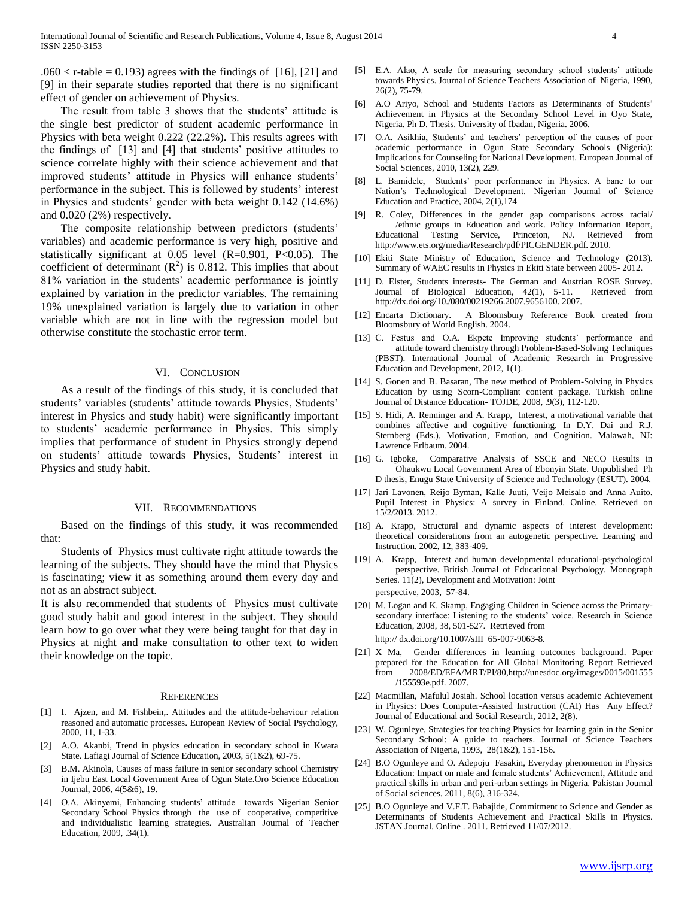$.060 < r$ -table = 0.193) agrees with the findings of [16], [21] and [9] in their separate studies reported that there is no significant effect of gender on achievement of Physics.

 The result from table 3 shows that the students' attitude is the single best predictor of student academic performance in Physics with beta weight 0.222 (22.2%). This results agrees with the findings of [13] and [4] that students' positive attitudes to science correlate highly with their science achievement and that improved students' attitude in Physics will enhance students' performance in the subject. This is followed by students' interest in Physics and students' gender with beta weight 0.142 (14.6%) and 0.020 (2%) respectively.

 The composite relationship between predictors (students' variables) and academic performance is very high, positive and statistically significant at 0.05 level (R=0.901, P<0.05). The coefficient of determinant  $(R^2)$  is 0.812. This implies that about 81% variation in the students' academic performance is jointly explained by variation in the predictor variables. The remaining 19% unexplained variation is largely due to variation in other variable which are not in line with the regression model but otherwise constitute the stochastic error term.

#### VI. CONCLUSION

 As a result of the findings of this study, it is concluded that students' variables (students' attitude towards Physics, Students' interest in Physics and study habit) were significantly important to students' academic performance in Physics. This simply implies that performance of student in Physics strongly depend on students' attitude towards Physics, Students' interest in Physics and study habit.

#### VII. RECOMMENDATIONS

 Based on the findings of this study, it was recommended that:

 Students of Physics must cultivate right attitude towards the learning of the subjects. They should have the mind that Physics is fascinating; view it as something around them every day and not as an abstract subject.

It is also recommended that students of Physics must cultivate good study habit and good interest in the subject. They should learn how to go over what they were being taught for that day in Physics at night and make consultation to other text to widen their knowledge on the topic.

#### **REFERENCES**

- [1] I. Ajzen, and M. Fishbein,. Attitudes and the attitude-behaviour relation reasoned and automatic processes. European Review of Social Psychology, 2000, 11, 1-33.
- [2] A.O. Akanbi, Trend in physics education in secondary school in Kwara State. Lafiagi Journal of Science Education, 2003, 5(1&2), 69-75.
- [3] B.M. Akinola, Causes of mass failure in senior secondary school Chemistry in Ijebu East Local Government Area of Ogun State.Oro Science Education Journal, 2006, 4(5&6), 19.
- [4] O.A. Akinyemi, Enhancing students' attitude towards Nigerian Senior Secondary School Physics through the use of cooperative, competitive and individualistic learning strategies. Australian Journal of Teacher Education, 2009, .34(1).
- [5] E.A. Alao, A scale for measuring secondary school students' attitude towards Physics. Journal of Science Teachers Association of Nigeria, 1990, 26(2), 75-79.
- [6] A.O Ariyo, School and Students Factors as Determinants of Students' Achievement in Physics at the Secondary School Level in Oyo State, Nigeria. Ph D. Thesis. University of Ibadan, Nigeria. 2006.
- [7] O.A. Asikhia, Students' and teachers' perception of the causes of poor academic performance in Ogun State Secondary Schools (Nigeria): Implications for Counseling for National Development. European Journal of Social Sciences, 2010, 13(2), 229.
- [8] L. Bamidele, Students' poor performance in Physics. A bane to our Nation's Technological Development. Nigerian Journal of Science Education and Practice, 2004, 2(1),174
- [9] R. Coley, Differences in the gender gap comparisons across racial/ /ethnic groups in Education and work. Policy Information Report, Educational Testing Service, Princeton, NJ. Retrieved from http://www.ets.org/media/Research/pdf/PICGENDER.pdf. 2010.
- [10] Ekiti State Ministry of Education, Science and Technology (2013). Summary of WAEC results in Physics in Ekiti State between 2005- 2012.
- [11] D. Elster, Students interests- The German and Austrian ROSE Survey. Journal of Biological Education, 42(1), 5-11. Retrieved from http://dx.doi.org/10./080/00219266.2007.9656100. 2007.
- [12] Encarta Dictionary. A Bloomsbury Reference Book created from Bloomsbury of World English. 2004.
- [13] C. Festus and O.A. Ekpete Improving students' performance and attitude toward chemistry through Problem-Based-Solving Techniques (PBST). International Journal of Academic Research in Progressive Education and Development, 2012, 1(1).
- [14] S. Gonen and B. Basaran, The new method of Problem-Solving in Physics Education by using Scorn-Compliant content package. Turkish online Journal of Distance Education- TOJDE, 2008, .9(3), 112-120.
- [15] S. Hidi, A. Renninger and A. Krapp, Interest, a motivational variable that combines affective and cognitive functioning. In D.Y. Dai and R.J. Sternberg (Eds.), Motivation, Emotion, and Cognition. Malawah, NJ: Lawrence Erlbaum. 2004.
- [16] G. Igboke, Comparative Analysis of SSCE and NECO Results in Ohaukwu Local Government Area of Ebonyin State. Unpublished Ph D thesis, Enugu State University of Science and Technology (ESUT). 2004.
- [17] Jari Lavonen, Reijo Byman, Kalle Juuti, Veijo Meisalo and Anna Auito. Pupil Interest in Physics: A survey in Finland. Online. Retrieved on 15/2/2013. 2012.
- [18] A. Krapp, Structural and dynamic aspects of interest development: theoretical considerations from an autogenetic perspective. Learning and Instruction. 2002, 12, 383-409.
- [19] A. Krapp, Interest and human developmental educational-psychological perspective. British Journal of Educational Psychology. Monograph Series. 11(2), Development and Motivation: Joint perspective, 2003, 57-84.
- [20] M. Logan and K. Skamp, Engaging Children in Science across the Primarysecondary interface: Listening to the students' voice. Research in Science Education, 2008, 38, 501-527. Retrieved from http:// dx.doi.org/10.1007/sIII 65-007-9063-8.
- [21] X Ma, Gender differences in learning outcomes background. Paper prepared for the Education for All Global Monitoring Report Retrieved from 2008/ED/EFA/MRT/PI/80,http://unesdoc.org/images/0015/001555 /155593e.pdf. 2007.
- [22] Macmillan, Mafulul Josiah. School location versus academic Achievement in Physics: Does Computer-Assisted Instruction (CAI) Has Any Effect? Journal of Educational and Social Research, 2012, 2(8).
- [23] W. Ogunleye, Strategies for teaching Physics for learning gain in the Senior Secondary School: A guide to teachers. Journal of Science Teachers Association of Nigeria, 1993, 28(1&2), 151-156.
- [24] B.O Ogunleye and O. Adepoju Fasakin, Everyday phenomenon in Physics Education: Impact on male and female students' Achievement, Attitude and practical skills in urban and peri-urban settings in Nigeria. Pakistan Journal of Social sciences. 2011, 8(6), 316-324.
- [25] B.O Ogunleye and V.F.T. Babajide, Commitment to Science and Gender as Determinants of Students Achievement and Practical Skills in Physics. JSTAN Journal. Online . 2011. Retrieved 11/07/2012.